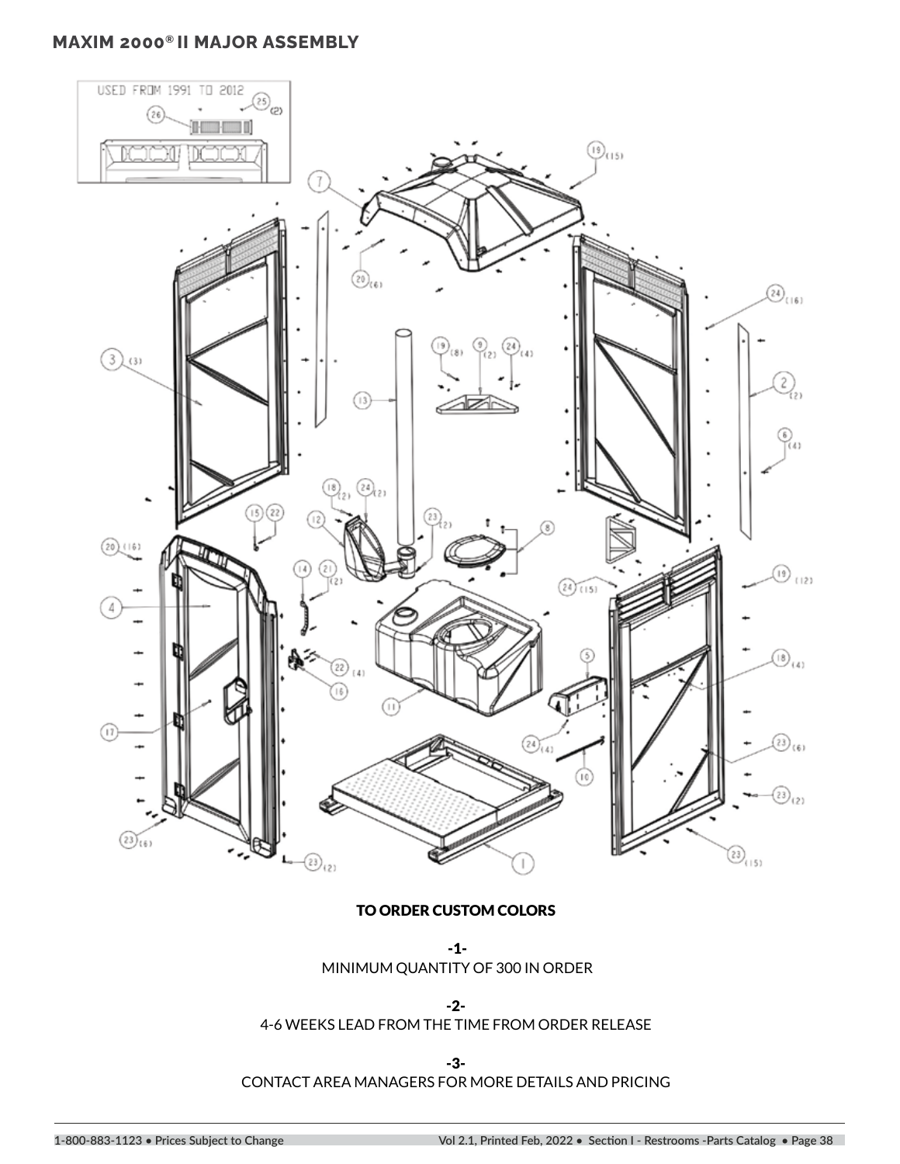# **MAXIM 2000® II MAJOR ASSEMBLY**



#### TO ORDER CUSTOM COLORS

 -1- MINIMUM QUANTITY OF 300 IN ORDER

-2-

4-6 WEEKS LEAD FROM THE TIME FROM ORDER RELEASE

-3-

CONTACT AREA MANAGERS FOR MORE DETAILS AND PRICING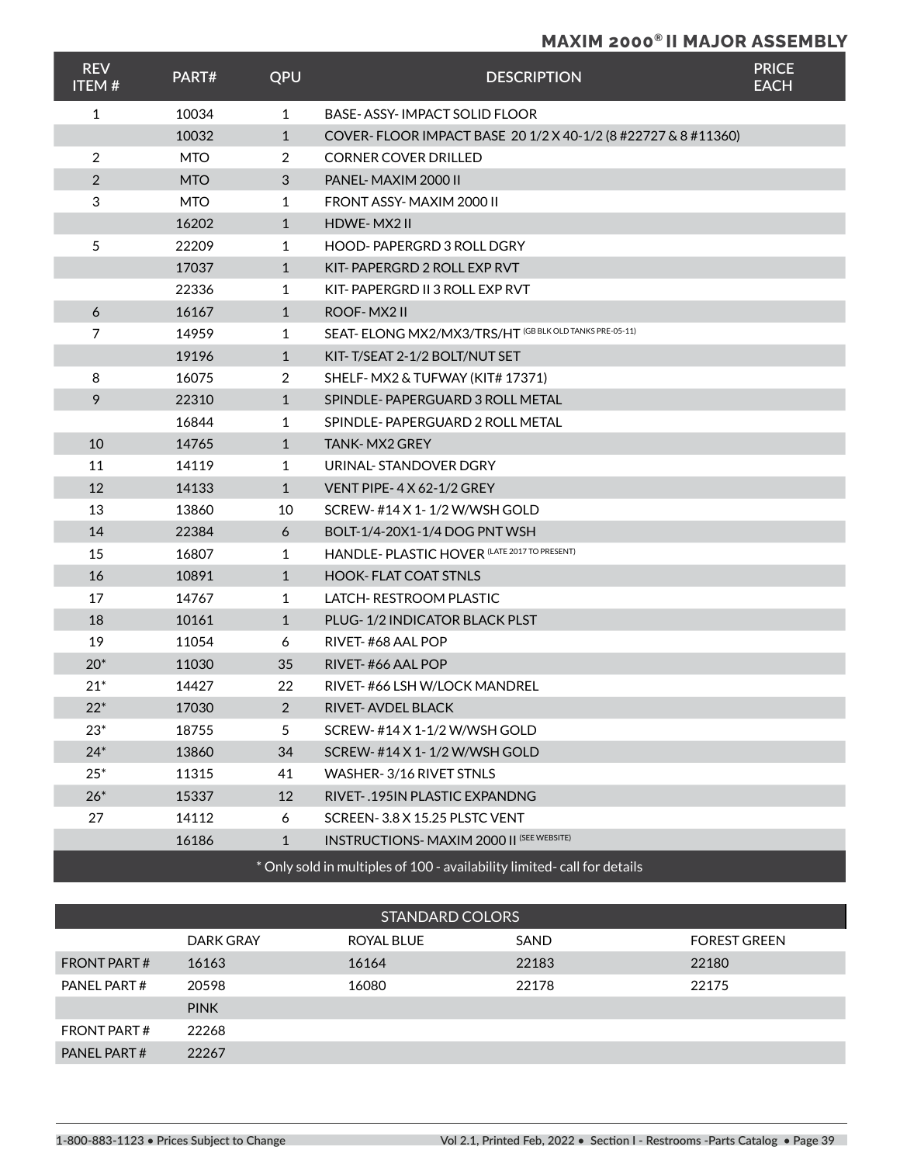### **MAXIM 2000® II MAJOR ASSEMBLY**

| <b>REV</b><br><b>ITEM#</b>                                              | PART#      | QPU            | <b>DESCRIPTION</b>                                            | <b>PRICE</b><br><b>EACH</b> |  |  |
|-------------------------------------------------------------------------|------------|----------------|---------------------------------------------------------------|-----------------------------|--|--|
| $\mathbf{1}$                                                            | 10034      | $\mathbf{1}$   | <b>BASE-ASSY-IMPACT SOLID FLOOR</b>                           |                             |  |  |
|                                                                         | 10032      | $\mathbf{1}$   | COVER-FLOOR IMPACT BASE 20 1/2 X 40-1/2 (8 #22727 & 8 #11360) |                             |  |  |
| $\overline{2}$                                                          | <b>MTO</b> | 2              | <b>CORNER COVER DRILLED</b>                                   |                             |  |  |
| $\overline{2}$                                                          | <b>MTO</b> | 3              | PANEL-MAXIM 2000 II                                           |                             |  |  |
| 3                                                                       | <b>MTO</b> | $\mathbf{1}$   | FRONT ASSY-MAXIM 2000 II                                      |                             |  |  |
|                                                                         | 16202      | $\mathbf{1}$   | HDWE-MX2 II                                                   |                             |  |  |
| 5                                                                       | 22209      | 1              | <b>HOOD-PAPERGRD 3 ROLL DGRY</b>                              |                             |  |  |
|                                                                         | 17037      | $\mathbf{1}$   | KIT-PAPERGRD 2 ROLL EXP RVT                                   |                             |  |  |
|                                                                         | 22336      | $\mathbf{1}$   | KIT-PAPERGRD II 3 ROLL EXP RVT                                |                             |  |  |
| 6                                                                       | 16167      | $\mathbf{1}$   | ROOF-MX2II                                                    |                             |  |  |
| $\overline{7}$                                                          | 14959      | 1              | SEAT- ELONG MX2/MX3/TRS/HT (GB BLK OLD TANKS PRE-05-11)       |                             |  |  |
|                                                                         | 19196      | $\mathbf{1}$   | KIT-T/SEAT 2-1/2 BOLT/NUT SET                                 |                             |  |  |
| 8                                                                       | 16075      | $\overline{2}$ | SHELF-MX2 & TUFWAY (KIT# 17371)                               |                             |  |  |
| 9                                                                       | 22310      | $\mathbf{1}$   | SPINDLE-PAPERGUARD 3 ROLL METAL                               |                             |  |  |
|                                                                         | 16844      | $\mathbf{1}$   | SPINDLE-PAPERGUARD 2 ROLL METAL                               |                             |  |  |
| 10                                                                      | 14765      | $\mathbf{1}$   | <b>TANK-MX2 GREY</b>                                          |                             |  |  |
| 11                                                                      | 14119      | $\mathbf{1}$   | URINAL-STANDOVER DGRY                                         |                             |  |  |
| 12                                                                      | 14133      | $\mathbf{1}$   | VENT PIPE-4X 62-1/2 GREY                                      |                             |  |  |
| 13                                                                      | 13860      | 10             | SCREW-#14 X 1-1/2 W/WSH GOLD                                  |                             |  |  |
| 14                                                                      | 22384      | 6              | BOLT-1/4-20X1-1/4 DOG PNT WSH                                 |                             |  |  |
| 15                                                                      | 16807      | $\mathbf{1}$   | HANDLE- PLASTIC HOVER (LATE 2017 TO PRESENT)                  |                             |  |  |
| 16                                                                      | 10891      | $\mathbf{1}$   | <b>HOOK-FLAT COAT STNLS</b>                                   |                             |  |  |
| 17                                                                      | 14767      | $\mathbf{1}$   | LATCH-RESTROOM PLASTIC                                        |                             |  |  |
| 18                                                                      | 10161      | $\mathbf{1}$   | PLUG-1/2 INDICATOR BLACK PLST                                 |                             |  |  |
| 19                                                                      | 11054      | 6              | RIVET-#68 AAL POP                                             |                             |  |  |
| $20*$                                                                   | 11030      | 35             | RIVET-#66 AAL POP                                             |                             |  |  |
| $21*$                                                                   | 14427      | 22             | RIVET-#66 LSH W/LOCK MANDREL                                  |                             |  |  |
| $22*$                                                                   | 17030      | 2              | RIVET-AVDEL BLACK                                             |                             |  |  |
| $23*$                                                                   | 18755      | 5              | SCREW-#14 X 1-1/2 W/WSH GOLD                                  |                             |  |  |
| $24*$                                                                   | 13860      | 34             | SCREW-#14 X 1-1/2 W/WSH GOLD                                  |                             |  |  |
| $25*$                                                                   | 11315      | 41             | WASHER-3/16 RIVET STNLS                                       |                             |  |  |
| $26*$                                                                   | 15337      | 12             | RIVET-.195IN PLASTIC EXPANDNG                                 |                             |  |  |
| 27                                                                      | 14112      | 6              | SCREEN-3.8 X 15.25 PLSTC VENT                                 |                             |  |  |
|                                                                         | 16186      | $\mathbf{1}$   | <b>INSTRUCTIONS- MAXIM 2000 II (SEE WEBSITE)</b>              |                             |  |  |
| * Only sold in multiples of 100 - availability limited-call for details |            |                |                                                               |                             |  |  |

\* Only sold in multiples of 100 - availability limited- call for details

| <b>STANDARD COLORS</b> |             |            |       |                     |  |
|------------------------|-------------|------------|-------|---------------------|--|
|                        | DARK GRAY   | ROYAL BLUE | SAND  | <b>FOREST GREEN</b> |  |
| FRONT PART#            | 16163       | 16164      | 22183 | 22180               |  |
| PANEL PART#            | 20598       | 16080      | 22178 | 22175               |  |
|                        | <b>PINK</b> |            |       |                     |  |
| FRONT PART#            | 22268       |            |       |                     |  |
| PANEL PART#            | 22267       |            |       |                     |  |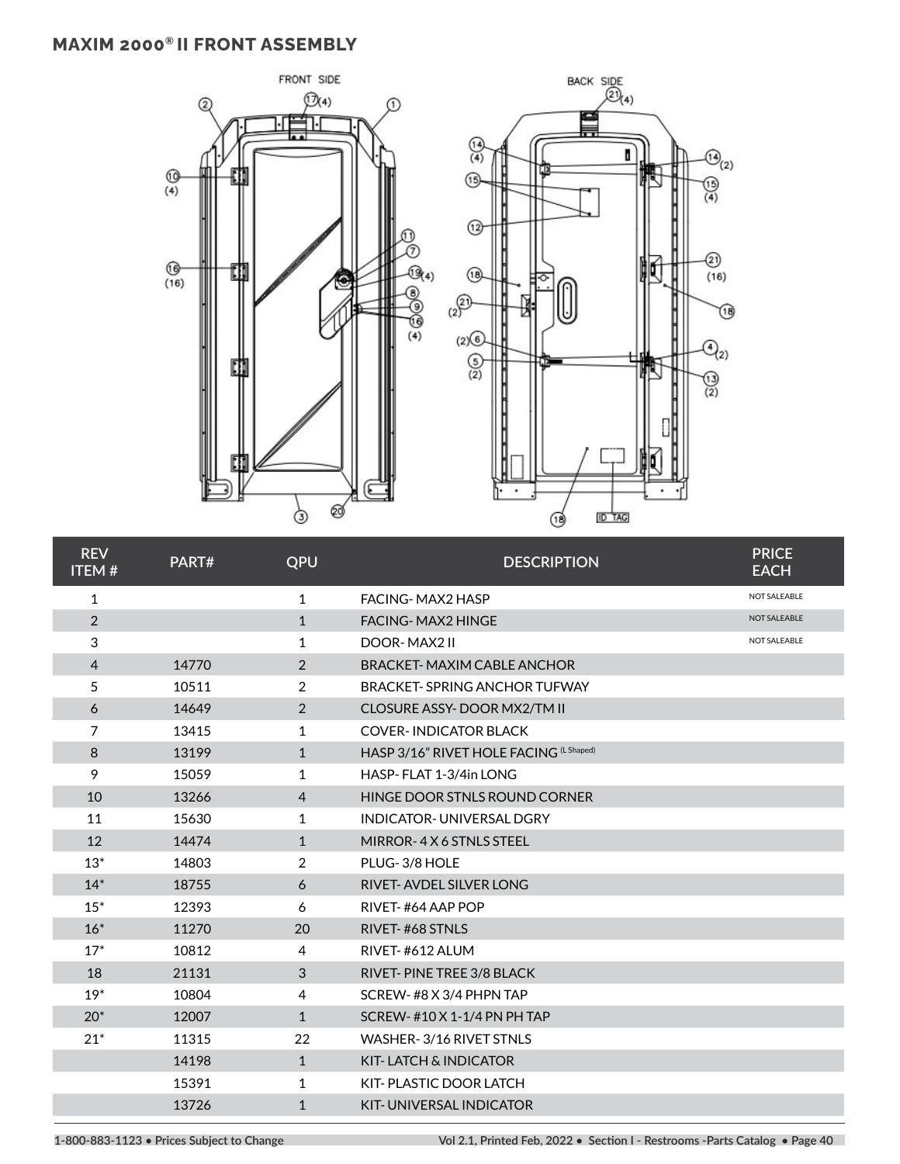# **MAXIM 2000® II FRONT ASSEMBLY**



| <b>REV</b><br><b>ITEM#</b> | PART# | QPU            | <b>DESCRIPTION</b>                      | <b>PRICE</b><br><b>EACH</b> |
|----------------------------|-------|----------------|-----------------------------------------|-----------------------------|
| $\mathbf{1}$               |       | $\mathbf{1}$   | <b>FACING-MAX2 HASP</b>                 | NOT SALEABLE                |
| $\overline{2}$             |       | $\mathbf{1}$   | <b>FACING-MAX2 HINGE</b>                | NOT SALEABLE                |
| 3                          |       | 1              | DOOR-MAX2 II                            | NOT SALEABLE                |
| $\overline{4}$             | 14770 | 2              | <b>BRACKET-MAXIM CABLE ANCHOR</b>       |                             |
| 5                          | 10511 | 2              | <b>BRACKET-SPRING ANCHOR TUFWAY</b>     |                             |
| 6                          | 14649 | 2              | CLOSURE ASSY-DOOR MX2/TM II             |                             |
| 7                          | 13415 | $\mathbf{1}$   | <b>COVER-INDICATOR BLACK</b>            |                             |
| 8                          | 13199 | $\mathbf{1}$   | HASP 3/16" RIVET HOLE FACING (L Shaped) |                             |
| 9                          | 15059 | $\mathbf{1}$   | HASP-FLAT 1-3/4in LONG                  |                             |
| 10                         | 13266 | $\overline{4}$ | HINGE DOOR STNLS ROUND CORNER           |                             |
| 11                         | 15630 | 1              | <b>INDICATOR- UNIVERSAL DGRY</b>        |                             |
| 12                         | 14474 | $\mathbf{1}$   | MIRROR-4X6 STNLS STEEL                  |                             |
| $13*$                      | 14803 | 2              | PLUG-3/8 HOLE                           |                             |
| $14*$                      | 18755 | 6              | <b>RIVET-AVDEL SILVER LONG</b>          |                             |
| $15*$                      | 12393 | 6              | RIVET-#64 AAP POP                       |                             |
| $16*$                      | 11270 | 20             | RIVET-#68 STNLS                         |                             |
| $17*$                      | 10812 | 4              | RIVET-#612 ALUM                         |                             |
| 18                         | 21131 | 3              | RIVET-PINE TREE 3/8 BLACK               |                             |
| $19*$                      | 10804 | 4              | SCREW-#8 X 3/4 PHPN TAP                 |                             |
| $20*$                      | 12007 | $\mathbf{1}$   | SCREW- #10 X 1-1/4 PN PH TAP            |                             |
| $21*$                      | 11315 | 22             | WASHER-3/16 RIVET STNLS                 |                             |
|                            | 14198 | $\mathbf{1}$   | KIT-LATCH & INDICATOR                   |                             |
|                            | 15391 | 1              | KIT-PLASTIC DOOR LATCH                  |                             |
|                            | 13726 | $\mathbf{1}$   | <b>KIT-UNIVERSAL INDICATOR</b>          |                             |

**1-800-883-1123 • Prices Subject to Change Vol 2.1, Printed Feb, 2022 • Section I - Restrooms -Parts Catalog • Page 40**